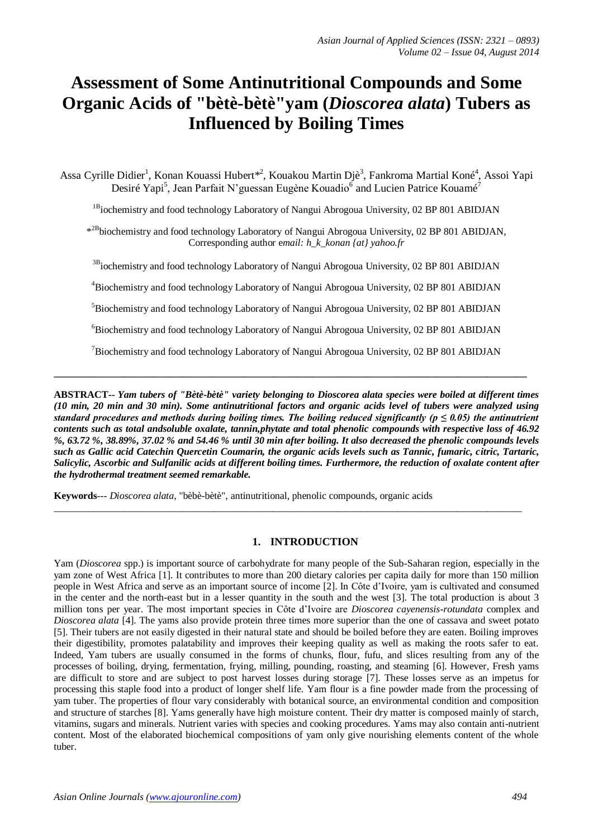# **Assessment of Some Antinutritional Compounds and Some Organic Acids of "bètè-bètè"yam (***Dioscorea alata***) Tubers as Influenced by Boiling Times**

Assa Cyrille Didier<sup>1</sup>, Konan Kouassi Hubert\*<sup>2</sup>, Kouakou Martin Djè<sup>3</sup>, Fankroma Martial Koné<sup>4</sup>, Assoi Yapi Desiré Yapi<sup>5</sup>, Jean Parfait N'guessan Eugène Kouadio<sup>6</sup> and Lucien Patrice Kouamé<sup>7</sup>

<sup>1B</sup>iochemistry and food technology Laboratory of Nangui Abrogoua University, 02 BP 801 ABIDJAN

\*<sup>2B</sup>biochemistry and food technology Laboratory of Nangui Abrogoua University, 02 BP 801 ABIDJAN, Corresponding author e*mail: h\_k\_konan {at} yahoo.fr*

<sup>3B</sup>iochemistry and food technology Laboratory of Nangui Abrogoua University, 02 BP 801 ABIDJAN

<sup>4</sup>Biochemistry and food technology Laboratory of Nangui Abrogoua University, 02 BP 801 ABIDJAN

<sup>5</sup>Biochemistry and food technology Laboratory of Nangui Abrogoua University, 02 BP 801 ABIDJAN

<sup>6</sup>Biochemistry and food technology Laboratory of Nangui Abrogoua University, 02 BP 801 ABIDJAN

<sup>7</sup>Biochemistry and food technology Laboratory of Nangui Abrogoua University, 02 BP 801 ABIDJAN

**\_\_\_\_\_\_\_\_\_\_\_\_\_\_\_\_\_\_\_\_\_\_\_\_\_\_\_\_\_\_\_\_\_\_\_\_\_\_\_\_\_\_\_\_\_\_\_\_\_\_\_\_\_\_\_\_\_\_\_\_\_\_\_\_\_\_\_\_\_\_\_\_\_\_\_\_\_\_\_\_\_\_\_\_\_\_\_\_\_\_\_\_\_\_\_**

**ABSTRACT--** *Yam tubers of "Bètè-bètè" variety belonging to Dioscorea alata species were boiled at different times (10 min, 20 min and 30 min). Some antinutritional factors and organic acids level of tubers were analyzed using standard procedures and methods during boiling times. The boiling reduced significantly (* $p \le 0.05$ *) the antinutrient contents such as total andsoluble oxalate, tannin,phytate and total phenolic compounds with respective loss of 46.92 %, 63.72 %, 38.89%, 37.02 % and 54.46 % until 30 min after boiling. It also decreased the phenolic compounds levels such as Gallic acid Catechin Quercetin Coumarin, the organic acids levels such as Tannic, fumaric, citric, Tartaric, Salicylic, Ascorbic and Sulfanilic acids at different boiling times. Furthermore, the reduction of oxalate content after the hydrothermal treatment seemed remarkable.*

\_\_\_\_\_\_\_\_\_\_\_\_\_\_\_\_\_\_\_\_\_\_\_\_\_\_\_\_\_\_\_\_\_\_\_\_\_\_\_\_\_\_\_\_\_\_\_\_\_\_\_\_\_\_\_\_\_\_\_\_\_\_\_\_\_\_\_\_\_\_\_\_\_\_\_\_\_\_\_\_\_\_\_\_\_\_\_\_\_\_\_\_\_\_

**Keywords**--- *Dioscorea alata*, "bèbè-bètè", antinutritional, phenolic compounds, organic acids

# **1. INTRODUCTION**

Yam (*Dioscorea* spp.) is important source of carbohydrate for many people of the Sub-Saharan region, especially in the yam zone of West Africa [1]. It contributes to more than 200 dietary calories per capita daily for more than 150 million people in West Africa and serve as an important source of income [2]. In Côte d'Ivoire, yam is cultivated and consumed in the center and the north-east but in a lesser quantity in the south and the west [3]. The total production is about 3 million tons per year. The most important species in Côte d'Ivoire are *Dioscorea cayenensis-rotundata* complex and *Dioscorea alata* [4]. The yams also provide protein three times more superior than the one of cassava and sweet potato [5]. Their tubers are not easily digested in their natural state and should be boiled before they are eaten. Boiling improves their digestibility, promotes palatability and improves their keeping quality as well as making the roots safer to eat. Indeed, Yam tubers are usually consumed in the forms of chunks, flour, fufu, and slices resulting from any of the processes of boiling, drying, fermentation, frying, milling, pounding, roasting, and steaming [6]. However, Fresh yams are difficult to store and are subject to post harvest losses during storage [7]. These losses serve as an impetus for processing this staple food into a product of longer shelf life. Yam flour is a fine powder made from the processing of yam tuber. The properties of flour vary considerably with botanical source, an environmental condition and composition and structure of starches [8]. Yams generally have high moisture content. Their dry matter is composed mainly of starch, vitamins, sugars and minerals. Nutrient varies with species and cooking procedures. Yams may also contain anti-nutrient content. Most of the elaborated biochemical compositions of yam only give nourishing elements content of the whole tuber.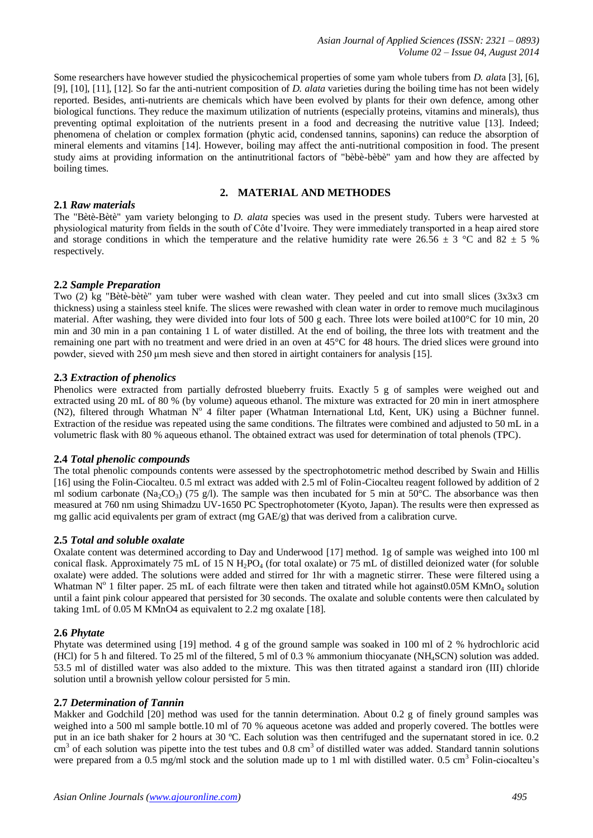Some researchers have however studied the physicochemical properties of some yam whole tubers from *D. alat*a [3], [6], [9], [10], [11], [12]. So far the anti-nutrient composition of *D. alata* varieties during the boiling time has not been widely reported. Besides, anti-nutrients are chemicals which have been evolved by plants for their own defence, among other biological functions. They reduce the maximum utilization of nutrients (especially proteins, vitamins and minerals), thus preventing optimal exploitation of the nutrients present in a food and decreasing the nutritive value [13]. Indeed; phenomena of chelation or complex formation (phytic acid, condensed tannins, saponins) can reduce the absorption of mineral elements and vitamins [14]. However, boiling may affect the anti-nutritional composition in food. The present study aims at providing information on the antinutritional factors of "bèbè-bèbè" yam and how they are affected by boiling times.

# **2. MATERIAL AND METHODES**

#### **2.1** *Raw materials*

The "Bètè-Bètè" yam variety belonging to *D. alata* species was used in the present study. Tubers were harvested at physiological maturity from fields in the south of Côte d'Ivoire. They were immediately transported in a heap aired store and storage conditions in which the temperature and the relative humidity rate were 26.56  $\pm$  3 °C and 82  $\pm$  5 % respectively.

#### **2.2** *Sample Preparation*

Two (2) kg "Bètè-bètè" yam tuber were washed with clean water. They peeled and cut into small slices (3x3x3 cm thickness) using a stainless steel knife. The slices were rewashed with clean water in order to remove much mucilaginous material. After washing, they were divided into four lots of 500 g each. Three lots were boiled at100°C for 10 min, 20 min and 30 min in a pan containing 1 L of water distilled. At the end of boiling, the three lots with treatment and the remaining one part with no treatment and were dried in an oven at 45°C for 48 hours. The dried slices were ground into powder, sieved with 250 μm mesh sieve and then stored in airtight containers for analysis [15].

#### **2.3** *Extraction of phenolics*

Phenolics were extracted from partially defrosted blueberry fruits. Exactly 5 g of samples were weighed out and extracted using 20 mL of 80 % (by volume) aqueous ethanol. The mixture was extracted for 20 min in inert atmosphere (N2), filtered through Whatman Nº 4 filter paper (Whatman International Ltd, Kent, UK) using a Büchner funnel. Extraction of the residue was repeated using the same conditions. The filtrates were combined and adjusted to 50 mL in a volumetric flask with 80 % aqueous ethanol. The obtained extract was used for determination of total phenols (TPC).

#### **2.4** *Total phenolic compounds*

The total phenolic compounds contents were assessed by the spectrophotometric method described by Swain and Hillis [16] using the Folin-Ciocalteu. 0.5 ml extract was added with 2.5 ml of Folin-Ciocalteu reagent followed by addition of 2 ml sodium carbonate (Na<sub>2</sub>CO<sub>3</sub>) (75 g/l). The sample was then incubated for 5 min at 50°C. The absorbance was then measured at 760 nm using Shimadzu UV-1650 PC Spectrophotometer (Kyoto, Japan). The results were then expressed as mg gallic acid equivalents per gram of extract (mg GAE/g) that was derived from a calibration curve.

#### **2.5** *Total and soluble oxalate*

Oxalate content was determined according to Day and Underwood [17] method. 1g of sample was weighed into 100 ml conical flask. Approximately 75 mL of 15 N H<sub>2</sub>PO<sub>4</sub> (for total oxalate) or 75 mL of distilled deionized water (for soluble oxalate) were added. The solutions were added and stirred for 1hr with a magnetic stirrer. These were filtered using a Whatman  $N^{\circ}$  1 filter paper. 25 mL of each filtrate were then taken and titrated while hot against0.05M KMnO<sub>4</sub> solution until a faint pink colour appeared that persisted for 30 seconds. The oxalate and soluble contents were then calculated by taking 1mL of 0.05 M KMnO4 as equivalent to 2.2 mg oxalate [18].

#### **2.6** *Phytate*

Phytate was determined using [19] method. 4 g of the ground sample was soaked in 100 ml of 2 % hydrochloric acid (HCl) for 5 h and filtered. To 25 ml of the filtered, 5 ml of 0.3 % ammonium thiocyanate (NH4SCN) solution was added. 53.5 ml of distilled water was also added to the mixture. This was then titrated against a standard iron (III) chloride solution until a brownish yellow colour persisted for 5 min.

#### **2.7** *Determination of Tannin*

Makker and Godchild [20] method was used for the tannin determination. About 0.2 g of finely ground samples was weighed into a 500 ml sample bottle.10 ml of 70 % aqueous acetone was added and properly covered. The bottles were put in an ice bath shaker for 2 hours at 30 ºC. Each solution was then centrifuged and the supernatant stored in ice. 0.2  $\text{cm}^3$  of each solution was pipette into the test tubes and 0.8 cm<sup>3</sup> of distilled water was added. Standard tannin solutions were prepared from a  $0.5 \text{ mg/ml}$  stock and the solution made up to 1 ml with distilled water.  $0.5 \text{ cm}^3$  Folin-ciocalteu's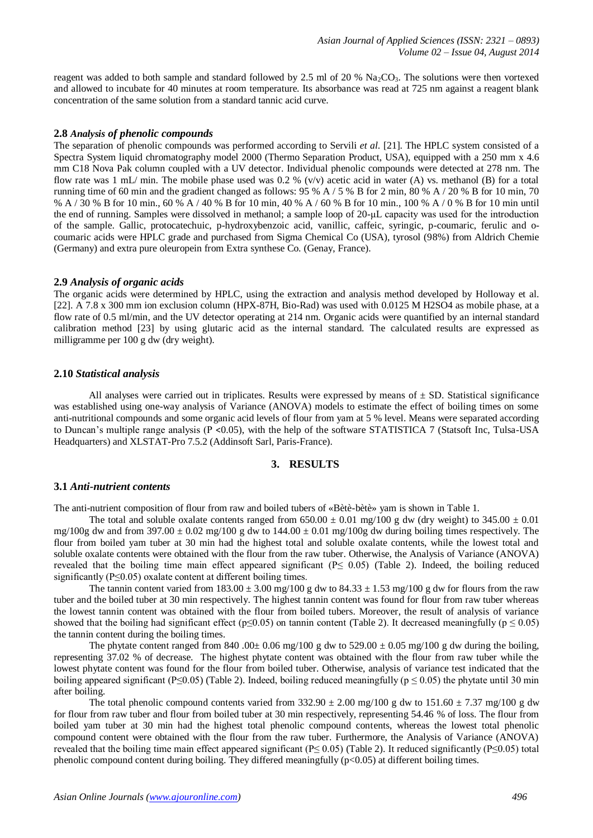reagent was added to both sample and standard followed by 2.5 ml of 20 %  $\text{Na}_2\text{CO}_3$ . The solutions were then vortexed and allowed to incubate for 40 minutes at room temperature. Its absorbance was read at 725 nm against a reagent blank concentration of the same solution from a standard tannic acid curve.

#### **2.8** *Analysis of phenolic compounds*

The separation of phenolic compounds was performed according to Servili *et al*. [21]. The HPLC system consisted of a Spectra System liquid chromatography model 2000 (Thermo Separation Product, USA), equipped with a 250 mm x 4.6 mm C18 Nova Pak column coupled with a UV detector. Individual phenolic compounds were detected at 278 nm. The flow rate was 1 mL/ min. The mobile phase used was 0.2 % (v/v) acetic acid in water (A) vs. methanol (B) for a total running time of 60 min and the gradient changed as follows:  $95\%$  A /  $5\%$  B for 2 min, 80 % A / 20 % B for 10 min, 70 % A / 30 % B for 10 min., 60 % A / 40 % B for 10 min, 40 % A / 60 % B for 10 min., 100 % A / 0 % B for 10 min until the end of running. Samples were dissolved in methanol; a sample loop of 20-μL capacity was used for the introduction of the sample. Gallic, protocatechuic, p-hydroxybenzoic acid, vanillic, caffeic, syringic, p-coumaric, ferulic and ocoumaric acids were HPLC grade and purchased from Sigma Chemical Co (USA), tyrosol (98%) from Aldrich Chemie (Germany) and extra pure oleuropein from Extra synthese Co. (Genay, France).

# **2.9** *Analysis of organic acids*

The organic acids were determined by HPLC, using the extraction and analysis method developed by Holloway et al. [22]. A 7.8 x 300 mm ion exclusion column (HPX-87H, Bio-Rad) was used with 0.0125 M H2SO4 as mobile phase, at a flow rate of 0.5 ml/min, and the UV detector operating at 214 nm. Organic acids were quantified by an internal standard calibration method [23] by using glutaric acid as the internal standard. The calculated results are expressed as milligramme per 100 g dw (dry weight).

# **2.10** *Statistical analysis*

All analyses were carried out in triplicates. Results were expressed by means of  $\pm$  SD. Statistical significance was established using one-way analysis of Variance (ANOVA) models to estimate the effect of boiling times on some anti-nutritional compounds and some organic acid levels of flour from yam at 5 % level. Means were separated according to Duncan's multiple range analysis (P <0.05), with the help of the software STATISTICA 7 (Statsoft Inc, Tulsa-USA Headquarters) and XLSTAT-Pro 7.5.2 (Addinsoft Sarl, Paris-France).

#### **3. RESULTS**

#### **3.1** *Anti-nutrient contents*

The anti-nutrient composition of flour from raw and boiled tubers of «Bètè-bètè» yam is shown in Table 1.

The total and soluble oxalate contents ranged from  $650.00 \pm 0.01$  mg/100 g dw (dry weight) to  $345.00 \pm 0.01$ mg/100g dw and from 397.00  $\pm$  0.02 mg/100 g dw to 144.00  $\pm$  0.01 mg/100g dw during boiling times respectively. The flour from boiled yam tuber at 30 min had the highest total and soluble oxalate contents, while the lowest total and soluble oxalate contents were obtained with the flour from the raw tuber. Otherwise, the Analysis of Variance (ANOVA) revealed that the boiling time main effect appeared significant ( $P \le 0.05$ ) (Table 2). Indeed, the boiling reduced significantly ( $P \le 0.05$ ) oxalate content at different boiling times.

The tannin content varied from  $183.00 \pm 3.00$  mg/ $100$  g dw to  $84.33 \pm 1.53$  mg/ $100$  g dw for flours from the raw tuber and the boiled tuber at 30 min respectively. The highest tannin content was found for flour from raw tuber whereas the lowest tannin content was obtained with the flour from boiled tubers. Moreover, the result of analysis of variance showed that the boiling had significant effect (p≤0.05) on tannin content (Table 2). It decreased meaningfully (p ≤ 0.05) the tannin content during the boiling times.

The phytate content ranged from 840 .00 $\pm$  0.06 mg/100 g dw to 529.00  $\pm$  0.05 mg/100 g dw during the boiling, representing 37.02 % of decrease. The highest phytate content was obtained with the flour from raw tuber while the lowest phytate content was found for the flour from boiled tuber. Otherwise, analysis of variance test indicated that the boiling appeared significant (P≤0.05) (Table 2). Indeed, boiling reduced meaningfully ( $p \le 0.05$ ) the phytate until 30 min after boiling.

The total phenolic compound contents varied from  $332.90 \pm 2.00$  mg/100 g dw to  $151.60 \pm 7.37$  mg/100 g dw for flour from raw tuber and flour from boiled tuber at 30 min respectively, representing 54.46 % of loss. The flour from boiled yam tuber at 30 min had the highest total phenolic compound contents, whereas the lowest total phenolic compound content were obtained with the flour from the raw tuber. Furthermore, the Analysis of Variance (ANOVA) revealed that the boiling time main effect appeared significant (P≤ 0.05) (Table 2). It reduced significantly (P≤0.05) total phenolic compound content during boiling. They differed meaningfully  $(p<0.05)$  at different boiling times.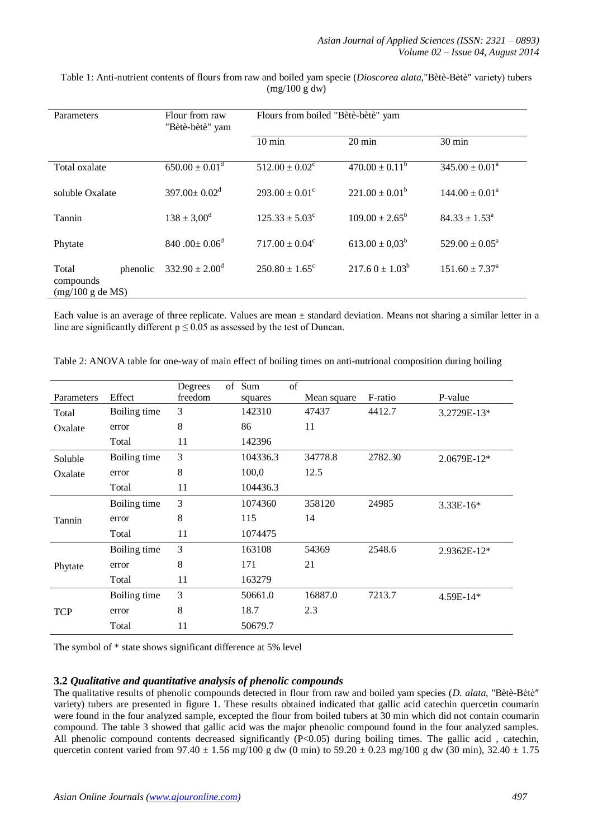| Parameters                                         | Flour from raw<br>"Bètè-bètè" yam | Flours from boiled "Bètè-bètè" yam |                           |                              |
|----------------------------------------------------|-----------------------------------|------------------------------------|---------------------------|------------------------------|
|                                                    |                                   | $10 \text{ min}$                   | $20 \text{ min}$          | $30 \text{ min}$             |
| Total oxalate                                      | $650.00 \pm 0.01$ <sup>d</sup>    | $512.00 \pm 0.02^{\circ}$          | $470.00 \pm 0.11^b$       | $345.00 \pm 0.01^{\text{a}}$ |
| soluble Oxalate                                    | $397.00 \pm 0.02$ <sup>d</sup>    | $293.00 \pm 0.01^{\circ}$          | $221.00 \pm 0.01^b$       | $144.00 \pm 0.01^{\text{a}}$ |
| Tannin                                             | $138 \pm 3,00^{\rm d}$            | $125.33 \pm 5.03^{\circ}$          | $109.00 \pm 2.65^{\rm b}$ | $84.33 \pm 1.53^{\circ}$     |
| Phytate                                            | 840.00 $\pm$ 0.06 <sup>d</sup>    | $717.00 \pm 0.04^{\circ}$          | $613.00 \pm 0.03^b$       | $529.00 \pm 0.05^{\text{a}}$ |
| phenolic<br>Total<br>compounds<br>(mg/100 g de MS) | $332.90 \pm 2.00^{\text{d}}$      | $250.80 \pm 1.65$ <sup>c</sup>     | $217.60 + 1.03b$          | $151.60 \pm 7.37^{\circ}$    |

Table 1: Anti-nutrient contents of flours from raw and boiled yam specie (*Dioscorea alata*,"Bètè-Bètè″ variety) tubers (mg/100 g dw)

Each value is an average of three replicate. Values are mean  $\pm$  standard deviation. Means not sharing a similar letter in a line are significantly different  $p \le 0.05$  as assessed by the test of Duncan.

|            |              | of<br>Degrees | of<br>Sum |             |         |             |
|------------|--------------|---------------|-----------|-------------|---------|-------------|
| Parameters | Effect       | freedom       | squares   | Mean square | F-ratio | P-value     |
| Total      | Boiling time | 3             | 142310    | 47437       | 4412.7  | 3.2729E-13* |
| Oxalate    | error        | 8             | 86        | 11          |         |             |
|            | Total        | 11            | 142396    |             |         |             |
| Soluble    | Boiling time | 3             | 104336.3  | 34778.8     | 2782.30 | 2.0679E-12* |
| Oxalate    | error        | 8             | 100,0     | 12.5        |         |             |
|            | Total        | 11            | 104436.3  |             |         |             |
|            | Boiling time | 3             | 1074360   | 358120      | 24985   | $3.33E-16*$ |
| Tannin     | error        | 8             | 115       | 14          |         |             |
|            | Total        | 11            | 1074475   |             |         |             |
|            | Boiling time | 3             | 163108    | 54369       | 2548.6  | 2.9362E-12* |
| Phytate    | error        | 8             | 171       | 21          |         |             |
|            | Total        | 11            | 163279    |             |         |             |
|            | Boiling time | 3             | 50661.0   | 16887.0     | 7213.7  | 4.59E-14*   |
| <b>TCP</b> | error        | 8             | 18.7      | 2.3         |         |             |
|            | Total        | 11            | 50679.7   |             |         |             |

Table 2: ANOVA table for one-way of main effect of boiling times on anti-nutrional composition during boiling

The symbol of \* state shows significant difference at 5% level

# **3.2** *Qualitative and quantitative analysis of phenolic compounds*

The qualitative results of phenolic compounds detected in flour from raw and boiled yam species (*D. alata*, "Bètè-Bètè″ variety) tubers are presented in figure 1. These results obtained indicated that gallic acid catechin quercetin coumarin were found in the four analyzed sample, excepted the flour from boiled tubers at 30 min which did not contain coumarin compound. The table 3 showed that gallic acid was the major phenolic compound found in the four analyzed samples. All phenolic compound contents decreased significantly  $(P<0.05)$  during boiling times. The gallic acid, catechin, quercetin content varied from  $97.40 \pm 1.56$  mg/100 g dw (0 min) to  $59.20 \pm 0.23$  mg/100 g dw (30 min),  $32.40 \pm 1.75$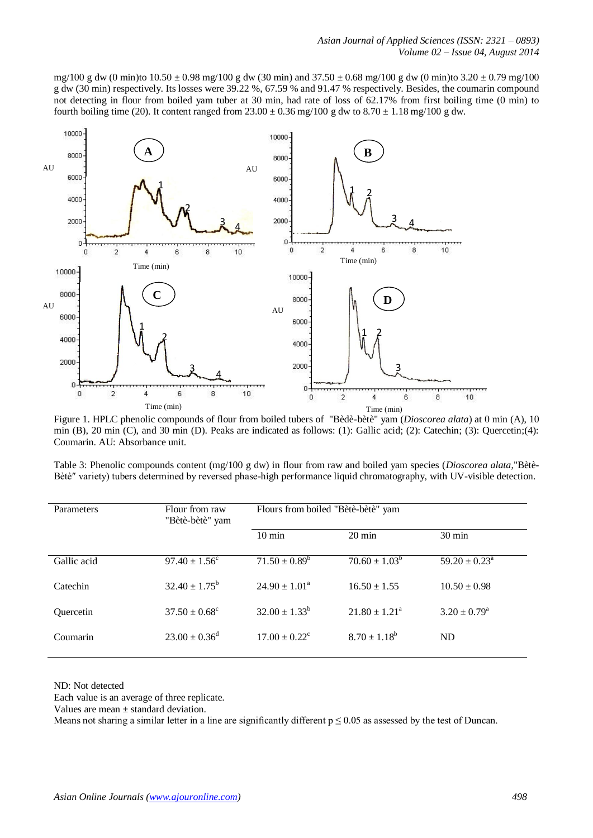mg/100 g dw (0 min)to  $10.50 \pm 0.98$  mg/100 g dw (30 min) and  $37.50 \pm 0.68$  mg/100 g dw (0 min)to  $3.20 \pm 0.79$  mg/100 g dw (30 min) respectively. Its losses were 39.22 %, 67.59 % and 91.47 % respectively. Besides, the coumarin compound not detecting in flour from boiled yam tuber at 30 min, had rate of loss of 62.17% from first boiling time (0 min) to fourth boiling time (20). It content ranged from  $23.00 \pm 0.36$  mg/100 g dw to  $8.70 \pm 1.18$  mg/100 g dw.



Figure 1. HPLC phenolic compounds of flour from boiled tubers of "Bèdè-bètè" yam (*Dioscorea alata*) at 0 min (A), 10 min (B), 20 min (C), and 30 min (D). Peaks are indicated as follows: (1): Gallic acid; (2): Catechin; (3): Quercetin;(4): Coumarin. AU: Absorbance unit.

Table 3: Phenolic compounds content (mg/100 g dw) in flour from raw and boiled yam species (*Dioscorea alata*,"Bètè-Bètè″ variety) tubers determined by reversed phase-high performance liquid chromatography, with UV-visible detection.

| Parameters       | Flour from raw<br>"Bètè-bètè" yam | Flours from boiled "Bètè-bètè" yam |                          |                             |
|------------------|-----------------------------------|------------------------------------|--------------------------|-----------------------------|
|                  |                                   | $10 \text{ min}$                   | $20 \text{ min}$         | $30 \text{ min}$            |
| Gallic acid      | $97.40 \pm 1.56^{\circ}$          | $71.50 \pm 0.89^{\circ}$           | $70.60 \pm 1.03^b$       | $59.20 \pm 0.23^{\text{a}}$ |
| Catechin         | $32.40 \pm 1.75^b$                | $24.90 \pm 1.01^{\circ}$           | $16.50 \pm 1.55$         | $10.50 \pm 0.98$            |
| <b>Ouercetin</b> | $37.50 \pm 0.68^{\circ}$          | $32.00 \pm 1.33^b$                 | $21.80 \pm 1.21^{\circ}$ | $3.20 \pm 0.79^{\rm a}$     |
| Coumarin         | $23.00 \pm 0.36^d$                | $17.00 \pm 0.22$ <sup>c</sup>      | $8.70 \pm 1.18^b$        | <b>ND</b>                   |

ND: Not detected

Each value is an average of three replicate.

Values are mean ± standard deviation.

Means not sharing a similar letter in a line are significantly different  $p \le 0.05$  as assessed by the test of Duncan.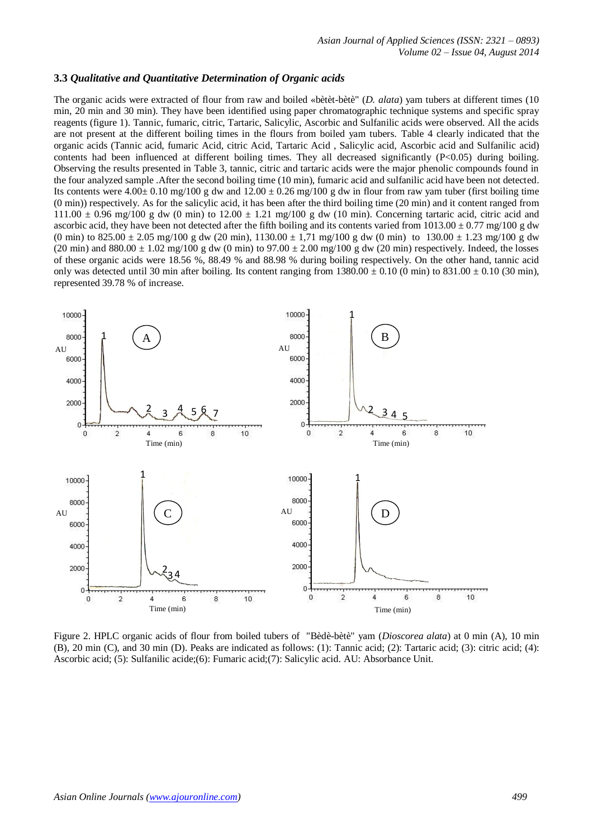#### **3.3** *Qualitative and Quantitative Determination of Organic acids*

The organic acids were extracted of flour from raw and boiled «bètèt-bètè" (*D. alata*) yam tubers at different times (10 min, 20 min and 30 min). They have been identified using paper chromatographic technique systems and specific spray reagents (figure 1). Tannic, fumaric, citric, Tartaric, Salicylic, Ascorbic and Sulfanilic acids were observed. All the acids are not present at the different boiling times in the flours from boiled yam tubers. Table 4 clearly indicated that the organic acids (Tannic acid, fumaric Acid, citric Acid, Tartaric Acid , Salicylic acid, Ascorbic acid and Sulfanilic acid) contents had been influenced at different boiling times. They all decreased significantly (P<0.05) during boiling. Observing the results presented in Table 3, tannic, citric and tartaric acids were the major phenolic compounds found in the four analyzed sample .After the second boiling time (10 min), fumaric acid and sulfanilic acid have been not detected. Its contents were  $4.00\pm 0.10$  mg/100 g dw and  $12.00 \pm 0.26$  mg/100 g dw in flour from raw yam tuber (first boiling time (0 min)) respectively. As for the salicylic acid, it has been after the third boiling time (20 min) and it content ranged from  $111.00 \pm 0.96$  mg/100 g dw (0 min) to  $12.00 \pm 1.21$  mg/100 g dw (10 min). Concerning tartaric acid, citric acid and ascorbic acid, they have been not detected after the fifth boiling and its contents varied from  $1013.00 \pm 0.77$  mg/100 g dw (0 min) to  $825.00 \pm 2.05$  mg/100 g dw (20 min),  $1130.00 \pm 1.71$  mg/100 g dw (0 min) to  $130.00 \pm 1.23$  mg/100 g dw (20 min) and  $880.00 \pm 1.02$  mg/100 g dw (0 min) to  $97.00 \pm 2.00$  mg/100 g dw (20 min) respectively. Indeed, the losses of these organic acids were 18.56 %, 88.49 % and 88.98 % during boiling respectively. On the other hand, tannic acid only was detected until 30 min after boiling. Its content ranging from  $1380.00 \pm 0.10$  (0 min) to  $831.00 \pm 0.10$  (30 min), represented 39.78 % of increase.



Figure 2. HPLC organic acids of flour from boiled tubers of "Bèdè-bètè" yam (*Dioscorea alata*) at 0 min (A), 10 min (B), 20 min (C), and 30 min (D). Peaks are indicated as follows: (1): Tannic acid; (2): Tartaric acid; (3): citric acid; (4): Ascorbic acid; (5): Sulfanilic acide;(6): Fumaric acid;(7): Salicylic acid. AU: Absorbance Unit.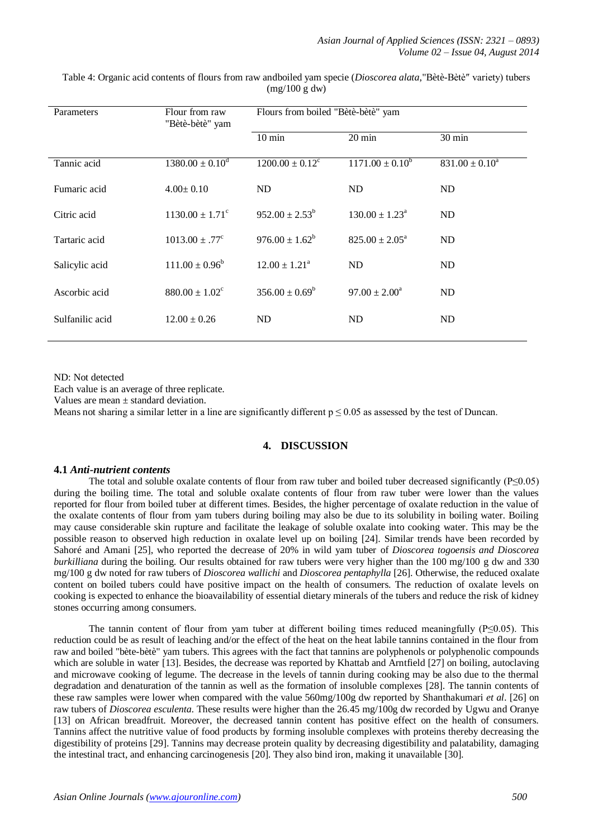| Parameters      | Flour from raw<br>"Bètè-bètè" yam | Flours from boiled "Bètè-bètè" yam |                              |                     |
|-----------------|-----------------------------------|------------------------------------|------------------------------|---------------------|
|                 |                                   | $10 \text{ min}$                   | $20 \text{ min}$             | $30 \text{ min}$    |
| Tannic acid     | $1380.00 \pm 0.10^d$              | $1200.00 \pm 0.12^{\circ}$         | $1171.00 \pm 0.10^b$         | $831.00 \pm 0.10^a$ |
| Fumaric acid    | $4.00 \pm 0.10$                   | ND                                 | ND                           | ND                  |
| Citric acid     | $1130.00 \pm 1.71^{\circ}$        | $952.00 \pm 2.53^b$                | $130.00 \pm 1.23^{\text{a}}$ | ND                  |
| Tartaric acid   | $1013.00 \pm .77^{\circ}$         | $976.00 \pm 1.62^b$                | $825.00 \pm 2.05^{\circ}$    | ND                  |
| Salicylic acid  | $111.00 \pm 0.96^b$               | $12.00 \pm 1.21^{\circ}$           | ND                           | ND                  |
| Ascorbic acid   | $880.00 \pm 1.02^{\circ}$         | $356.00 \pm 0.69^b$                | $97.00 \pm 2.00^a$           | ND                  |
| Sulfanilic acid | $12.00 \pm 0.26$                  | ND                                 | ND                           | ND                  |

Table 4: Organic acid contents of flours from raw andboiled yam specie (*Dioscorea alata*,"Bètè-Bètè″ variety) tubers (mg/100 g dw)

ND: Not detected

Each value is an average of three replicate.

Values are mean ± standard deviation.

Means not sharing a similar letter in a line are significantly different  $p \le 0.05$  as assessed by the test of Duncan.

# **4. DISCUSSION**

#### **4.1** *Anti-nutrient contents*

The total and soluble oxalate contents of flour from raw tuber and boiled tuber decreased significantly (P≤0.05) during the boiling time. The total and soluble oxalate contents of flour from raw tuber were lower than the values reported for flour from boiled tuber at different times. Besides, the higher percentage of oxalate reduction in the value of the oxalate contents of flour from yam tubers during boiling may also be due to its solubility in boiling water. Boiling may cause considerable skin rupture and facilitate the leakage of soluble oxalate into cooking water. This may be the possible reason to observed high reduction in oxalate level up on boiling [24]. Similar trends have been recorded by Sahoré and Amani [25], who reported the decrease of 20% in wild yam tuber of *Dioscorea togoensis and Dioscorea burkilliana* during the boiling. Our results obtained for raw tubers were very higher than the 100 mg/100 g dw and 330 mg/100 g dw noted for raw tubers of *Dioscorea wallichi* and *Dioscorea pentaphylla* [26]. Otherwise, the reduced oxalate content on boiled tubers could have positive impact on the health of consumers. The reduction of oxalate levels on cooking is expected to enhance the bioavailability of essential dietary minerals of the tubers and reduce the risk of kidney stones occurring among consumers.

The tannin content of flour from yam tuber at different boiling times reduced meaningfully (P≤0.05). This reduction could be as result of leaching and/or the effect of the heat on the heat labile tannins contained in the flour from raw and boiled "bète-bètè" yam tubers. This agrees with the fact that tannins are polyphenols or polyphenolic compounds which are soluble in water [13]. Besides, the decrease was reported by Khattab and Arntfield [27] on boiling, autoclaving and microwave cooking of legume. The decrease in the levels of tannin during cooking may be also due to the thermal degradation and denaturation of the tannin as well as the formation of insoluble complexes [28]. The tannin contents of these raw samples were lower when compared with the value 560mg/100g dw reported by Shanthakumari *et al*. [26] on raw tubers of *Dioscorea esculenta*. These results were higher than the 26.45 mg/100g dw recorded by Ugwu and Oranye [13] on African breadfruit. Moreover, the decreased tannin content has positive effect on the health of consumers. Tannins affect the nutritive value of food products by forming insoluble complexes with proteins thereby decreasing the digestibility of proteins [29]. Tannins may decrease protein quality by decreasing digestibility and palatability, damaging the intestinal tract, and enhancing carcinogenesis [20]. They also bind iron, making it unavailable [30].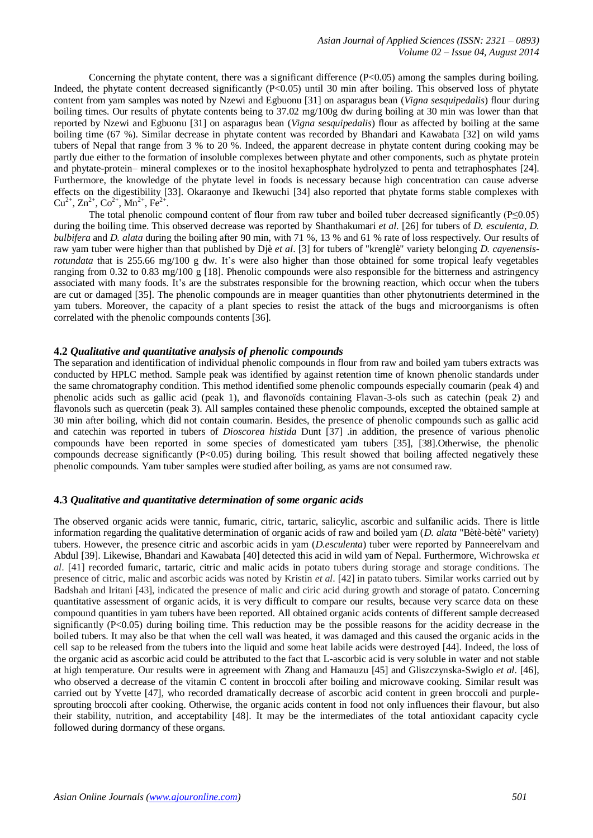Concerning the phytate content, there was a significant difference (P<0.05) among the samples during boiling. Indeed, the phytate content decreased significantly (P<0.05) until 30 min after boiling. This observed loss of phytate content from yam samples was noted by Nzewi and Egbuonu [31] on asparagus bean (*Vigna sesquipedalis*) flour during boiling times. Our results of phytate contents being to 37.02 mg/100g dw during boiling at 30 min was lower than that reported by Nzewi and Egbuonu [31] on asparagus bean (*Vigna sesquipedalis*) flour as affected by boiling at the same boiling time (67 %). Similar decrease in phytate content was recorded by Bhandari and Kawabata [32] on wild yams tubers of Nepal that range from 3 % to 20 %. Indeed, the apparent decrease in phytate content during cooking may be partly due either to the formation of insoluble complexes between phytate and other components, such as phytate protein and phytate-protein– mineral complexes or to the inositol hexaphosphate hydrolyzed to penta and tetraphosphates [24]. Furthermore, the knowledge of the phytate level in foods is necessary because high concentration can cause adverse effects on the digestibility [33]. Okaraonye and Ikewuchi [34] also reported that phytate forms stable complexes with  $Cu^{2+}$ ,  $Zn^{2+}$ ,  $Co^{2+}$ ,  $Mn^{2+}$ ,  $Fe^{2+}$ .

The total phenolic compound content of flour from raw tuber and boiled tuber decreased significantly (P≤0.05) during the boiling time. This observed decrease was reported by Shanthakumari *et al*. [26] for tubers of *D. esculenta*, *D. bulbifera* and *D. alata* during the boiling after 90 min, with 71 %, 13 % and 61 % rate of loss respectively. Our results of raw yam tuber were higher than that published by Djè *et al*. [3] for tubers of "krenglè" variety belonging *D. cayenensisrotundata* that is 255.66 mg/100 g dw. It's were also higher than those obtained for some tropical leafy vegetables ranging from 0.32 to 0.83 mg/100 g [18]. Phenolic compounds were also responsible for the bitterness and astringency associated with many foods. It's are the substrates responsible for the browning reaction, which occur when the tubers are cut or damaged [35]. The phenolic compounds are in meager quantities than other phytonutrients determined in the yam tubers. Moreover, the capacity of a plant species to resist the attack of the bugs and microorganisms is often correlated with the phenolic compounds contents [36].

#### **4.2** *Qualitative and quantitative analysis of phenolic compounds*

The separation and identification of individual phenolic compounds in flour from raw and boiled yam tubers extracts was conducted by HPLC method. Sample peak was identified by against retention time of known phenolic standards under the same chromatography condition. This method identified some phenolic compounds especially coumarin (peak 4) and phenolic acids such as gallic acid (peak 1), and flavonoïds containing Flavan-3-ols such as catechin (peak 2) and flavonols such as quercetin (peak 3). All samples contained these phenolic compounds, excepted the obtained sample at 30 min after boiling, which did not contain coumarin. Besides, the presence of phenolic compounds such as gallic acid and catechin was reported in tubers of *Dioscorea histida* Dunt [37] .in addition, the presence of various phenolic compounds have been reported in some species of domesticated yam tubers [35], [38].Otherwise, the phenolic compounds decrease significantly  $(P< 0.05)$  during boiling. This result showed that boiling affected negatively these phenolic compounds. Yam tuber samples were studied after boiling, as yams are not consumed raw.

#### **4.3** *Qualitative and quantitative determination of some organic acids*

The observed organic acids were tannic, fumaric, citric, tartaric, salicylic, ascorbic and sulfanilic acids. There is little information regarding the qualitative determination of organic acids of raw and boiled yam (*D. alata* "Bètè-bètè" variety) tubers. However, the presence citric and ascorbic acids in yam (*D.esculenta*) tuber were reported by Panneerelvam and Abdul [39]. Likewise, Bhandari and Kawabata [40] detected this acid in wild yam of Nepal. Furthermore, Wichrowska *et al*. [41] recorded fumaric, tartaric, citric and malic acids in potato tubers during storage and storage conditions. The presence of citric, malic and ascorbic acids was noted by Kristin *et al*. [42] in patato tubers. Similar works carried out by Badshah and Iritani [43], indicated the presence of malic and ciric acid during growth and storage of patato. Concerning quantitative assessment of organic acids, it is very difficult to compare our results, because very scarce data on these compound quantities in yam tubers have been reported. All obtained organic acids contents of different sample decreased significantly (P<0.05) during boiling time. This reduction may be the possible reasons for the acidity decrease in the boiled tubers. It may also be that when the cell wall was heated, it was damaged and this caused the organic acids in the cell sap to be released from the tubers into the liquid and some heat labile acids were destroyed [44]. Indeed, the loss of the organic acid as ascorbic acid could be attributed to the fact that L-ascorbic acid is very soluble in water and not stable at high temperature. Our results were in agreement with Zhang and Hamauzu [45] and Gliszczynska-Swiglo *et al*. [46], who observed a decrease of the vitamin C content in broccoli after boiling and microwave cooking. Similar result was carried out by Yvette [47], who recorded dramatically decrease of ascorbic acid content in green broccoli and purplesprouting broccoli after cooking. Otherwise, the organic acids content in food not only influences their flavour, but also their stability, nutrition, and acceptability [48]. It may be the intermediates of the total antioxidant capacity cycle followed during dormancy of these organs.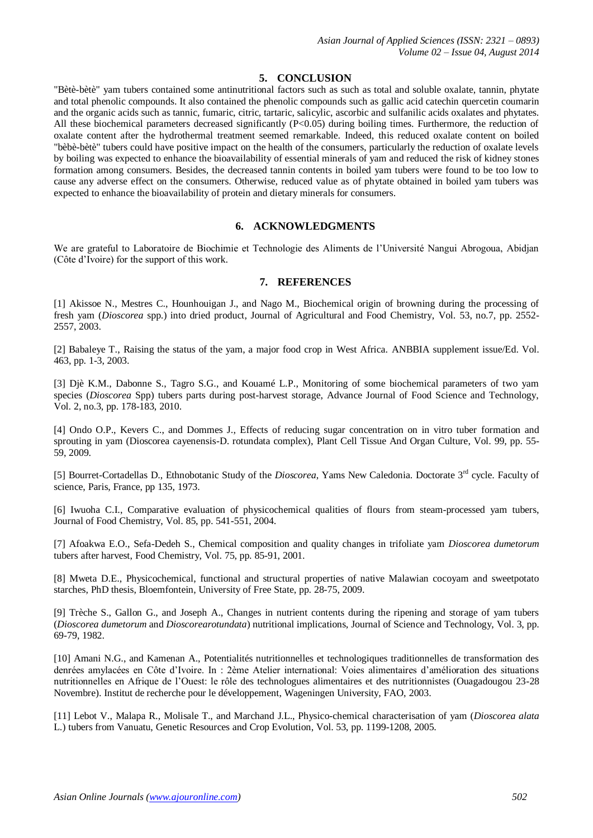# **5. CONCLUSION**

"Bètè-bètè" yam tubers contained some antinutritional factors such as such as total and soluble oxalate, tannin, phytate and total phenolic compounds. It also contained the phenolic compounds such as gallic acid catechin quercetin coumarin and the organic acids such as tannic, fumaric, citric, tartaric, salicylic, ascorbic and sulfanilic acids oxalates and phytates. All these biochemical parameters decreased significantly (P<0.05) during boiling times. Furthermore, the reduction of oxalate content after the hydrothermal treatment seemed remarkable. Indeed, this reduced oxalate content on boiled "bèbè-bètè" tubers could have positive impact on the health of the consumers, particularly the reduction of oxalate levels by boiling was expected to enhance the bioavailability of essential minerals of yam and reduced the risk of kidney stones formation among consumers. Besides, the decreased tannin contents in boiled yam tubers were found to be too low to cause any adverse effect on the consumers. Otherwise, reduced value as of phytate obtained in boiled yam tubers was expected to enhance the bioavailability of protein and dietary minerals for consumers.

# **6. ACKNOWLEDGMENTS**

We are grateful to Laboratoire de Biochimie et Technologie des Aliments de l'Université Nangui Abrogoua, Abidjan (Côte d'Ivoire) for the support of this work.

# **7. REFERENCES**

[1] Akissoe N., Mestres C., Hounhouigan J., and Nago M., Biochemical origin of browning during the processing of fresh yam (*Dioscorea* spp.) into dried product, Journal of Agricultural and Food Chemistry, Vol. 53, no.7, pp. 2552- 2557, 2003.

[2] Babaleye T., Raising the status of the yam, a major food crop in West Africa. ANBBIA supplement issue/Ed. Vol. 463, pp. 1-3, 2003.

[3] Djè K.M., Dabonne S., Tagro S.G., and Kouamé L.P., Monitoring of some biochemical parameters of two yam species (*Dioscorea* Spp) tubers parts during post-harvest storage, Advance Journal of Food Science and Technology, Vol. 2, no.3, pp. 178-183, 2010.

[4] Ondo O.P., Kevers C., and Dommes J., Effects of reducing sugar concentration on in vitro tuber formation and sprouting in yam (Dioscorea cayenensis-D. rotundata complex), Plant Cell Tissue And Organ Culture, Vol. 99, pp. 55- 59, 2009.

[5] Bourret-Cortadellas D., Ethnobotanic Study of the *Dioscorea*, Yams New Caledonia. Doctorate 3rd cycle. Faculty of science, Paris, France, pp 135, 1973.

[6] Iwuoha C.I., Comparative evaluation of physicochemical qualities of flours from steam-processed yam tubers, Journal of Food Chemistry, Vol. 85, pp. 541-551, 2004.

[7] Afoakwa E.O., Sefa-Dedeh S., Chemical composition and quality changes in trifoliate yam *Dioscorea dumetorum* tubers after harvest, Food Chemistry, Vol. 75, pp. 85-91, 2001.

[8] Mweta D.E., Physicochemical, functional and structural properties of native Malawian cocoyam and sweetpotato starches, PhD thesis, Bloemfontein, University of Free State, pp. 28-75, 2009.

[9] Trèche S., Gallon G., and Joseph A., Changes in nutrient contents during the ripening and storage of yam tubers (*Dioscorea dumetorum* and *Dioscorearotundata*) nutritional implications, Journal of Science and Technology, Vol. 3, pp. 69-79, 1982.

[10] Amani N.G., and Kamenan A., Potentialités nutritionnelles et technologiques traditionnelles de transformation des denrées amylacées en Côte d'Ivoire. In : 2ème Atelier international: Voies alimentaires d'amélioration des situations nutritionnelles en Afrique de l'Ouest: le rôle des technologues alimentaires et des nutritionnistes (Ouagadougou 23-28 Novembre). Institut de recherche pour le développement, Wageningen University, FAO, 2003.

[11] Lebot V., Malapa R., Molisale T., and Marchand J.L., Physico-chemical characterisation of yam (*Dioscorea alata*  L.) tubers from Vanuatu, Genetic Resources and Crop Evolution, Vol. 53, pp. 1199-1208, 2005.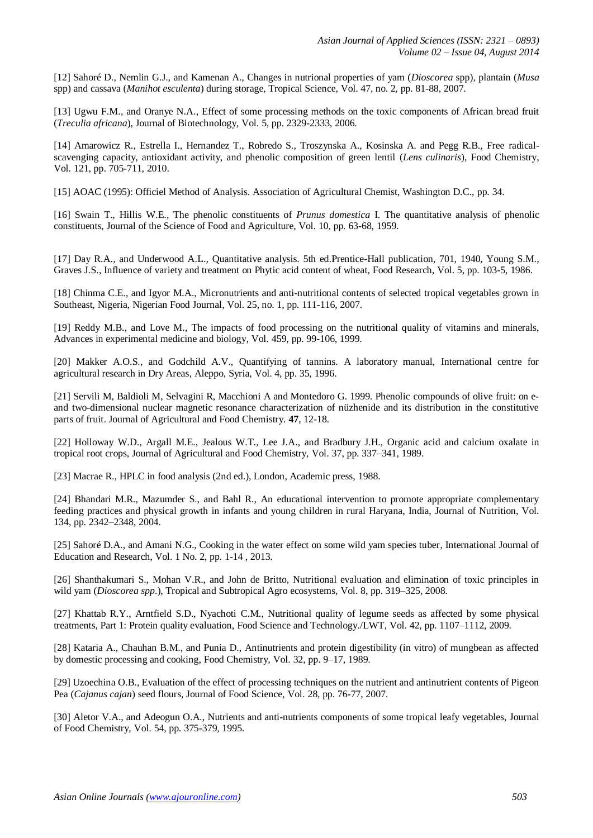[12] Sahoré D., Nemlin G.J., and Kamenan A., Changes in nutrional properties of yam (*Dioscorea* spp), plantain (*Musa*  spp) and cassava (*Manihot esculenta*) during storage, Tropical Science, Vol. 47, no. 2, pp. 81-88, 2007.

[13] Ugwu F.M., and Oranye N.A., Effect of some processing methods on the toxic components of African bread fruit (*Treculia africana*), Journal of Biotechnology, Vol. 5, pp. 2329-2333, 2006.

[14] Amarowicz R., Estrella I., Hernandez T., Robredo S., Troszynska A., Kosinska A. and Pegg R.B., Free radicalscavenging capacity, antioxidant activity, and phenolic composition of green lentil (*Lens culinaris*), Food Chemistry, Vol. 121, pp. 705-711, 2010.

[15] AOAC (1995): Officiel Method of Analysis. Association of Agricultural Chemist, Washington D.C., pp. 34.

[16] Swain T., Hillis W.E., The phenolic constituents of *Prunus domestica* I. The quantitative analysis of phenolic constituents, Journal of the Science of Food and Agriculture, Vol. 10, pp. 63-68, 1959.

[17] Day R.A., and Underwood A.L., Quantitative analysis. 5th ed.Prentice-Hall publication, 701, 1940, Young S.M., Graves J.S., Influence of variety and treatment on Phytic acid content of wheat, Food Research, Vol. 5, pp. 103-5, 1986.

[18] Chinma C.E., and Igyor M.A., Micronutrients and anti-nutritional contents of selected tropical vegetables grown in Southeast, Nigeria, Nigerian Food Journal, Vol. 25, no. 1, pp. 111-116, 2007.

[19] Reddy M.B., and Love M., The impacts of food processing on the nutritional quality of vitamins and minerals, Advances in experimental medicine and biology, Vol. 459, pp. 99-106, 1999.

[20] Makker A.O.S., and Godchild A.V., Quantifying of tannins. A laboratory manual, International centre for agricultural research in Dry Areas, Aleppo, Syria, Vol. 4, pp. 35, 1996.

[21] Servili M, Baldioli M, Selvagini R, Macchioni A and Montedoro G. 1999. Phenolic compounds of olive fruit: on eand two-dimensional nuclear magnetic resonance characterization of nüzhenide and its distribution in the constitutive parts of fruit. Journal of Agricultural and Food Chemistry*.* **47**, 12-18.

[22] Holloway W.D., Argall M.E., Jealous W.T., Lee J.A., and Bradbury J.H., Organic acid and calcium oxalate in tropical root crops, Journal of Agricultural and Food Chemistry, Vol. 37, pp. 337–341, 1989.

[23] Macrae R., HPLC in food analysis (2nd ed.), London, Academic press, 1988.

[24] Bhandari M.R., Mazumder S., and Bahl R., An educational intervention to promote appropriate complementary feeding practices and physical growth in infants and young children in rural Haryana, India, Journal of Nutrition, Vol. 134, pp. 2342–2348, 2004.

[25] Sahoré D.A., and Amani N.G., Cooking in the water effect on some wild yam species tuber, International Journal of Education and Research, Vol. 1 No. 2, pp. 1-14 , 2013.

[26] Shanthakumari S., Mohan V.R., and John de Britto, Nutritional evaluation and elimination of toxic principles in wild yam (*Dioscorea spp*.), Tropical and Subtropical Agro ecosystems, Vol. 8, pp. 319–325, 2008.

[27] Khattab R.Y., Arntfield S.D., Nyachoti C.M., Nutritional quality of legume seeds as affected by some physical treatments, Part 1: Protein quality evaluation, Food Science and Technology./LWT, Vol. 42, pp. 1107–1112, 2009.

[28] Kataria A., Chauhan B.M., and Punia D., Antinutrients and protein digestibility (in vitro) of mungbean as affected by domestic processing and cooking, Food Chemistry, Vol. 32, pp. 9–17, 1989.

[29] Uzoechina O.B., Evaluation of the effect of processing techniques on the nutrient and antinutrient contents of Pigeon Pea (*Cajanus cajan*) seed flours, Journal of Food Science, Vol. 28, pp. 76-77, 2007.

[30] Aletor V.A., and Adeogun O.A., Nutrients and anti-nutrients components of some tropical leafy vegetables, Journal of Food Chemistry, Vol. 54, pp. 375-379, 1995.